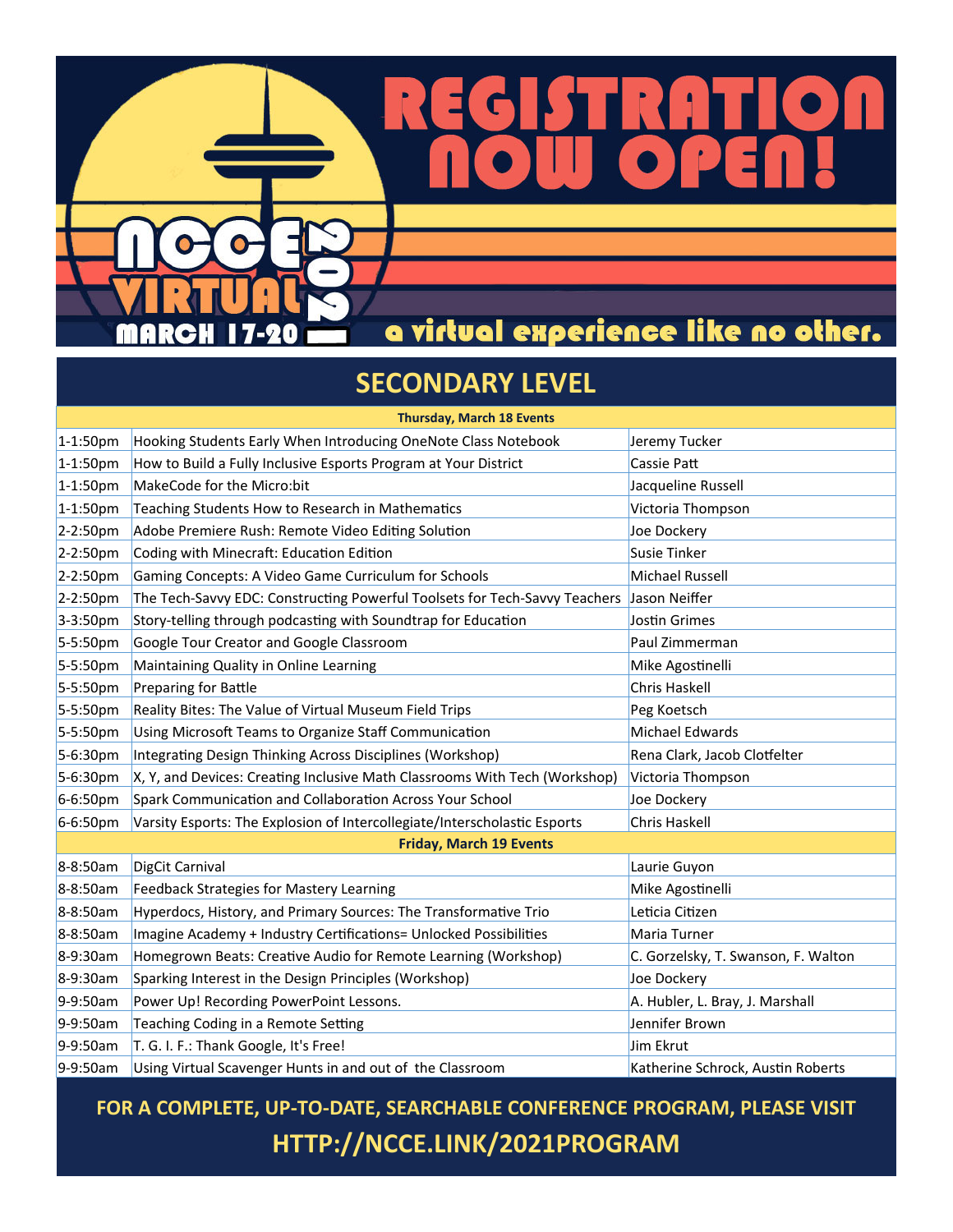a virtual experience like no other.

١

## **SECONDARY LEVEL**

 $\bullet$ 

 $\mathbf{H}$ 

n

| <b>Thursday, March 18 Events</b> |                                                                                          |                                     |  |  |
|----------------------------------|------------------------------------------------------------------------------------------|-------------------------------------|--|--|
| $1-1:50pm$                       | Hooking Students Early When Introducing OneNote Class Notebook                           | Jeremy Tucker                       |  |  |
| $1-1:50pm$                       | How to Build a Fully Inclusive Esports Program at Your District                          | Cassie Patt                         |  |  |
| $1 - 1:50pm$                     | MakeCode for the Micro:bit                                                               | Jacqueline Russell                  |  |  |
| $1 - 1:50pm$                     | Teaching Students How to Research in Mathematics                                         | Victoria Thompson                   |  |  |
| $2-2:50pm$                       | Adobe Premiere Rush: Remote Video Editing Solution                                       | Joe Dockery                         |  |  |
| 2-2:50pm                         | Coding with Minecraft: Education Edition                                                 | Susie Tinker                        |  |  |
| $2-2:50pm$                       | Gaming Concepts: A Video Game Curriculum for Schools                                     | Michael Russell                     |  |  |
| 2-2:50pm                         | The Tech-Savvy EDC: Constructing Powerful Toolsets for Tech-Savvy Teachers Jason Neiffer |                                     |  |  |
| $3-3:50pm$                       | Story-telling through podcasting with Soundtrap for Education                            | <b>Jostin Grimes</b>                |  |  |
| 5-5:50pm                         | Google Tour Creator and Google Classroom                                                 | Paul Zimmerman                      |  |  |
| 5-5:50pm                         | Maintaining Quality in Online Learning                                                   | Mike Agostinelli                    |  |  |
| 5-5:50pm                         | Preparing for Battle                                                                     | Chris Haskell                       |  |  |
| 5-5:50pm                         | Reality Bites: The Value of Virtual Museum Field Trips                                   | Peg Koetsch                         |  |  |
| 5-5:50pm                         | Using Microsoft Teams to Organize Staff Communication                                    | <b>Michael Edwards</b>              |  |  |
| 5-6:30pm                         | Integrating Design Thinking Across Disciplines (Workshop)                                | Rena Clark, Jacob Clotfelter        |  |  |
| 5-6:30pm                         | X, Y, and Devices: Creating Inclusive Math Classrooms With Tech (Workshop)               | Victoria Thompson                   |  |  |
| 6-6:50pm                         | Spark Communication and Collaboration Across Your School                                 | Joe Dockery                         |  |  |
| 6-6:50pm                         | Varsity Esports: The Explosion of Intercollegiate/Interscholastic Esports                | Chris Haskell                       |  |  |
| <b>Friday, March 19 Events</b>   |                                                                                          |                                     |  |  |
| 8-8:50am                         | DigCit Carnival                                                                          | Laurie Guyon                        |  |  |
| 8-8:50am                         | Feedback Strategies for Mastery Learning                                                 | Mike Agostinelli                    |  |  |
| 8-8:50am                         | Hyperdocs, History, and Primary Sources: The Transformative Trio                         | Leticia Citizen                     |  |  |
| 8-8:50am                         | Imagine Academy + Industry Certifications= Unlocked Possibilities                        | Maria Turner                        |  |  |
| 8-9:30am                         | Homegrown Beats: Creative Audio for Remote Learning (Workshop)                           | C. Gorzelsky, T. Swanson, F. Walton |  |  |
| 8-9:30am                         | Sparking Interest in the Design Principles (Workshop)                                    | Joe Dockery                         |  |  |
| 9-9:50am                         | Power Up! Recording PowerPoint Lessons.                                                  | A. Hubler, L. Bray, J. Marshall     |  |  |
| 9-9:50am                         | Teaching Coding in a Remote Setting                                                      | Jennifer Brown                      |  |  |
| 9-9:50am                         | T. G. I. F.: Thank Google, It's Free!                                                    | Jim Ekrut                           |  |  |
| 9-9:50am                         | Using Virtual Scavenger Hunts in and out of the Classroom                                | Katherine Schrock, Austin Roberts   |  |  |

**FOR A COMPLETE, UP‐TO‐DATE, SEARCHABLE CONFERENCE PROGRAM, PLEASE VISIT HTTP://NCCE.LINK/2021PROGRAM**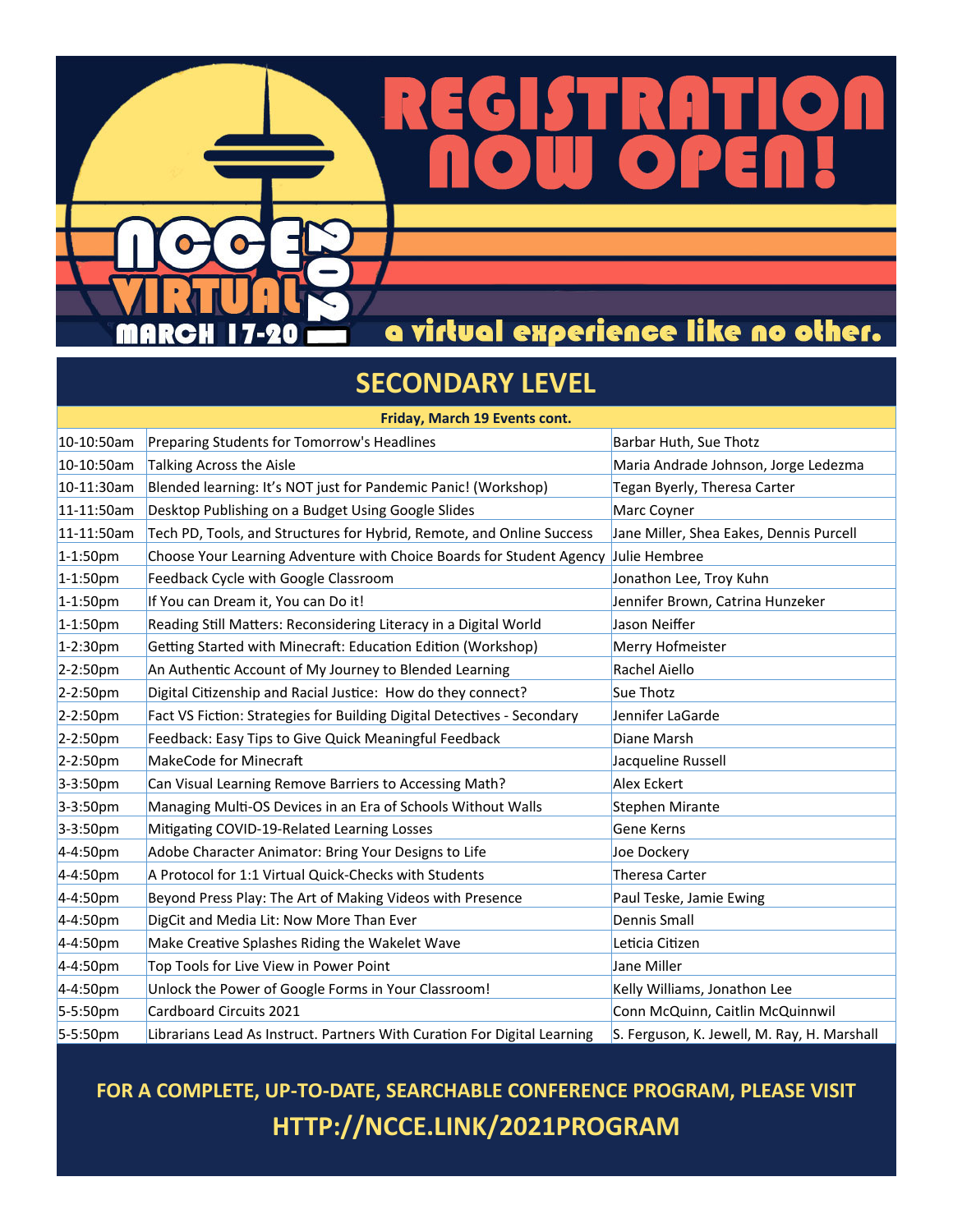a virtual experience like no other.

## **SECONDARY LEVEL**

-20

 $\mathbf{H}$ 

| Friday, March 19 Events cont. |                                                                          |                                             |  |  |
|-------------------------------|--------------------------------------------------------------------------|---------------------------------------------|--|--|
| 10-10:50am                    | Preparing Students for Tomorrow's Headlines                              | Barbar Huth, Sue Thotz                      |  |  |
| 10-10:50am                    | <b>Talking Across the Aisle</b>                                          | Maria Andrade Johnson, Jorge Ledezma        |  |  |
| 10-11:30am                    | Blended learning: It's NOT just for Pandemic Panic! (Workshop)           | Tegan Byerly, Theresa Carter                |  |  |
| 11-11:50am                    | Desktop Publishing on a Budget Using Google Slides                       | Marc Coyner                                 |  |  |
| 11-11:50am                    | Tech PD, Tools, and Structures for Hybrid, Remote, and Online Success    | Jane Miller, Shea Eakes, Dennis Purcell     |  |  |
| $1-1:50pm$                    | Choose Your Learning Adventure with Choice Boards for Student Agency     | Julie Hembree                               |  |  |
| $1 - 1:50pm$                  | Feedback Cycle with Google Classroom                                     | Jonathon Lee, Troy Kuhn                     |  |  |
| $1-1:50pm$                    | If You can Dream it, You can Do it!                                      | Jennifer Brown, Catrina Hunzeker            |  |  |
| $1 - 1:50pm$                  | Reading Still Matters: Reconsidering Literacy in a Digital World         | Jason Neiffer                               |  |  |
| 1-2:30pm                      | Getting Started with Minecraft: Education Edition (Workshop)             | Merry Hofmeister                            |  |  |
| 2-2:50pm                      | An Authentic Account of My Journey to Blended Learning                   | Rachel Aiello                               |  |  |
| $2-2:50pm$                    | Digital Citizenship and Racial Justice: How do they connect?             | Sue Thotz                                   |  |  |
| 2-2:50pm                      | Fact VS Fiction: Strategies for Building Digital Detectives - Secondary  | Jennifer LaGarde                            |  |  |
| 2-2:50pm                      | Feedback: Easy Tips to Give Quick Meaningful Feedback                    | Diane Marsh                                 |  |  |
| 2-2:50pm                      | MakeCode for Minecraft                                                   | Jacqueline Russell                          |  |  |
| 3-3:50pm                      | Can Visual Learning Remove Barriers to Accessing Math?                   | <b>Alex Eckert</b>                          |  |  |
| 3-3:50pm                      | Managing Multi-OS Devices in an Era of Schools Without Walls             | <b>Stephen Mirante</b>                      |  |  |
| $3-3:50pm$                    | Mitigating COVID-19-Related Learning Losses                              | <b>Gene Kerns</b>                           |  |  |
| $4-4:50pm$                    | Adobe Character Animator: Bring Your Designs to Life                     | Joe Dockery                                 |  |  |
| 4-4:50pm                      | A Protocol for 1:1 Virtual Quick-Checks with Students                    | Theresa Carter                              |  |  |
| 4-4:50pm                      | Beyond Press Play: The Art of Making Videos with Presence                | Paul Teske, Jamie Ewing                     |  |  |
| 4-4:50pm                      | DigCit and Media Lit: Now More Than Ever                                 | Dennis Small                                |  |  |
| 4-4:50pm                      | Make Creative Splashes Riding the Wakelet Wave                           | Leticia Citizen                             |  |  |
| 4-4:50pm                      | Top Tools for Live View in Power Point                                   | <b>Jane Miller</b>                          |  |  |
| $4-4:50pm$                    | Unlock the Power of Google Forms in Your Classroom!                      | Kelly Williams, Jonathon Lee                |  |  |
| 5-5:50pm                      | Cardboard Circuits 2021                                                  | Conn McQuinn, Caitlin McQuinnwil            |  |  |
| 5-5:50pm                      | Librarians Lead As Instruct. Partners With Curation For Digital Learning | S. Ferguson, K. Jewell, M. Ray, H. Marshall |  |  |

**FOR A COMPLETE, UP‐TO‐DATE, SEARCHABLE CONFERENCE PROGRAM, PLEASE VISIT HTTP://NCCE.LINK/2021PROGRAM**